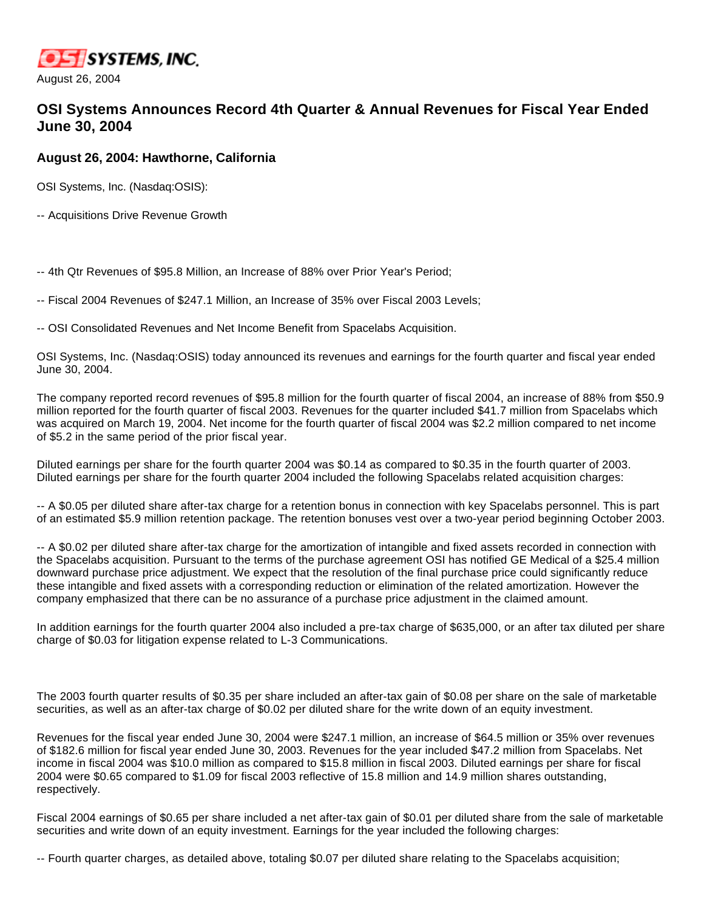

August 26, 2004

## **OSI Systems Announces Record 4th Quarter & Annual Revenues for Fiscal Year Ended June 30, 2004**

## **August 26, 2004: Hawthorne, California**

OSI Systems, Inc. (Nasdaq:OSIS):

-- Acquisitions Drive Revenue Growth

-- 4th Qtr Revenues of \$95.8 Million, an Increase of 88% over Prior Year's Period;

-- Fiscal 2004 Revenues of \$247.1 Million, an Increase of 35% over Fiscal 2003 Levels;

-- OSI Consolidated Revenues and Net Income Benefit from Spacelabs Acquisition.

OSI Systems, Inc. (Nasdaq:OSIS) today announced its revenues and earnings for the fourth quarter and fiscal year ended June 30, 2004.

The company reported record revenues of \$95.8 million for the fourth quarter of fiscal 2004, an increase of 88% from \$50.9 million reported for the fourth quarter of fiscal 2003. Revenues for the quarter included \$41.7 million from Spacelabs which was acquired on March 19, 2004. Net income for the fourth quarter of fiscal 2004 was \$2.2 million compared to net income of \$5.2 in the same period of the prior fiscal year.

Diluted earnings per share for the fourth quarter 2004 was \$0.14 as compared to \$0.35 in the fourth quarter of 2003. Diluted earnings per share for the fourth quarter 2004 included the following Spacelabs related acquisition charges:

-- A \$0.05 per diluted share after-tax charge for a retention bonus in connection with key Spacelabs personnel. This is part of an estimated \$5.9 million retention package. The retention bonuses vest over a two-year period beginning October 2003.

-- A \$0.02 per diluted share after-tax charge for the amortization of intangible and fixed assets recorded in connection with the Spacelabs acquisition. Pursuant to the terms of the purchase agreement OSI has notified GE Medical of a \$25.4 million downward purchase price adjustment. We expect that the resolution of the final purchase price could significantly reduce these intangible and fixed assets with a corresponding reduction or elimination of the related amortization. However the company emphasized that there can be no assurance of a purchase price adjustment in the claimed amount.

In addition earnings for the fourth quarter 2004 also included a pre-tax charge of \$635,000, or an after tax diluted per share charge of \$0.03 for litigation expense related to L-3 Communications.

The 2003 fourth quarter results of \$0.35 per share included an after-tax gain of \$0.08 per share on the sale of marketable securities, as well as an after-tax charge of \$0.02 per diluted share for the write down of an equity investment.

Revenues for the fiscal year ended June 30, 2004 were \$247.1 million, an increase of \$64.5 million or 35% over revenues of \$182.6 million for fiscal year ended June 30, 2003. Revenues for the year included \$47.2 million from Spacelabs. Net income in fiscal 2004 was \$10.0 million as compared to \$15.8 million in fiscal 2003. Diluted earnings per share for fiscal 2004 were \$0.65 compared to \$1.09 for fiscal 2003 reflective of 15.8 million and 14.9 million shares outstanding, respectively.

Fiscal 2004 earnings of \$0.65 per share included a net after-tax gain of \$0.01 per diluted share from the sale of marketable securities and write down of an equity investment. Earnings for the year included the following charges:

-- Fourth quarter charges, as detailed above, totaling \$0.07 per diluted share relating to the Spacelabs acquisition;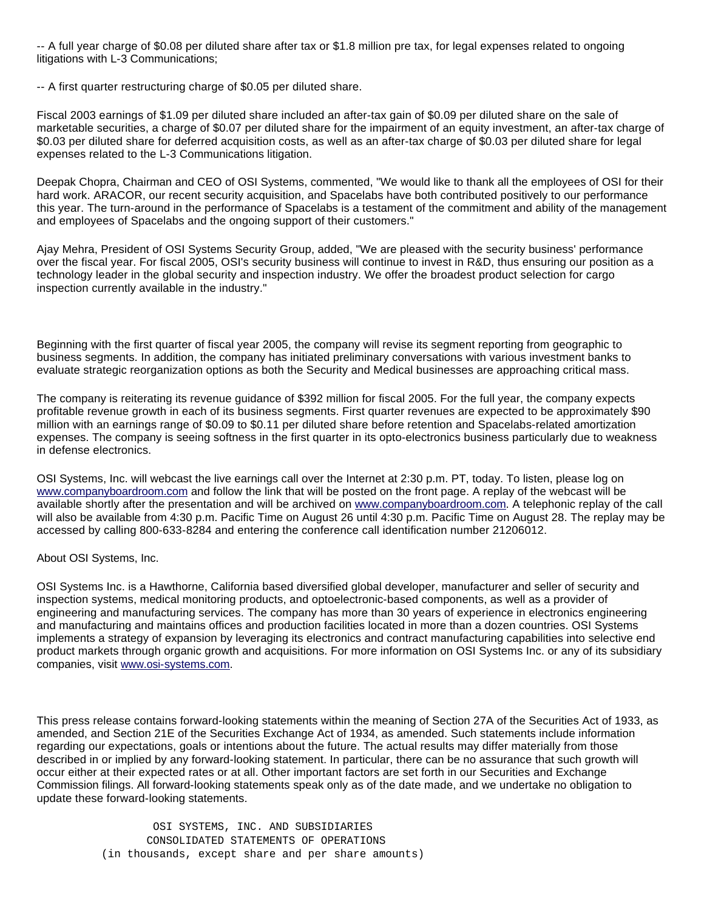-- A full year charge of \$0.08 per diluted share after tax or \$1.8 million pre tax, for legal expenses related to ongoing litigations with L-3 Communications;

-- A first quarter restructuring charge of \$0.05 per diluted share.

Fiscal 2003 earnings of \$1.09 per diluted share included an after-tax gain of \$0.09 per diluted share on the sale of marketable securities, a charge of \$0.07 per diluted share for the impairment of an equity investment, an after-tax charge of \$0.03 per diluted share for deferred acquisition costs, as well as an after-tax charge of \$0.03 per diluted share for legal expenses related to the L-3 Communications litigation.

Deepak Chopra, Chairman and CEO of OSI Systems, commented, "We would like to thank all the employees of OSI for their hard work. ARACOR, our recent security acquisition, and Spacelabs have both contributed positively to our performance this year. The turn-around in the performance of Spacelabs is a testament of the commitment and ability of the management and employees of Spacelabs and the ongoing support of their customers."

Ajay Mehra, President of OSI Systems Security Group, added, "We are pleased with the security business' performance over the fiscal year. For fiscal 2005, OSI's security business will continue to invest in R&D, thus ensuring our position as a technology leader in the global security and inspection industry. We offer the broadest product selection for cargo inspection currently available in the industry."

Beginning with the first quarter of fiscal year 2005, the company will revise its segment reporting from geographic to business segments. In addition, the company has initiated preliminary conversations with various investment banks to evaluate strategic reorganization options as both the Security and Medical businesses are approaching critical mass.

The company is reiterating its revenue guidance of \$392 million for fiscal 2005. For the full year, the company expects profitable revenue growth in each of its business segments. First quarter revenues are expected to be approximately \$90 million with an earnings range of \$0.09 to \$0.11 per diluted share before retention and Spacelabs-related amortization expenses. The company is seeing softness in the first quarter in its opto-electronics business particularly due to weakness in defense electronics.

OSI Systems, Inc. will webcast the live earnings call over the Internet at 2:30 p.m. PT, today. To listen, please log on [www.companyboardroom.com](http://www.companyboardroom.com/) and follow the link that will be posted on the front page. A replay of the webcast will be available shortly after the presentation and will be archived on [www.companyboardroom.com](http://www.companyboardroom.com/). A telephonic replay of the call will also be available from 4:30 p.m. Pacific Time on August 26 until 4:30 p.m. Pacific Time on August 28. The replay may be accessed by calling 800-633-8284 and entering the conference call identification number 21206012.

About OSI Systems, Inc.

OSI Systems Inc. is a Hawthorne, California based diversified global developer, manufacturer and seller of security and inspection systems, medical monitoring products, and optoelectronic-based components, as well as a provider of engineering and manufacturing services. The company has more than 30 years of experience in electronics engineering and manufacturing and maintains offices and production facilities located in more than a dozen countries. OSI Systems implements a strategy of expansion by leveraging its electronics and contract manufacturing capabilities into selective end product markets through organic growth and acquisitions. For more information on OSI Systems Inc. or any of its subsidiary companies, visit [www.osi-systems.com.](http://www.osi-systems.com/)

This press release contains forward-looking statements within the meaning of Section 27A of the Securities Act of 1933, as amended, and Section 21E of the Securities Exchange Act of 1934, as amended. Such statements include information regarding our expectations, goals or intentions about the future. The actual results may differ materially from those described in or implied by any forward-looking statement. In particular, there can be no assurance that such growth will occur either at their expected rates or at all. Other important factors are set forth in our Securities and Exchange Commission filings. All forward-looking statements speak only as of the date made, and we undertake no obligation to update these forward-looking statements.

> OSI SYSTEMS, INC. AND SUBSIDIARIES CONSOLIDATED STATEMENTS OF OPERATIONS (in thousands, except share and per share amounts)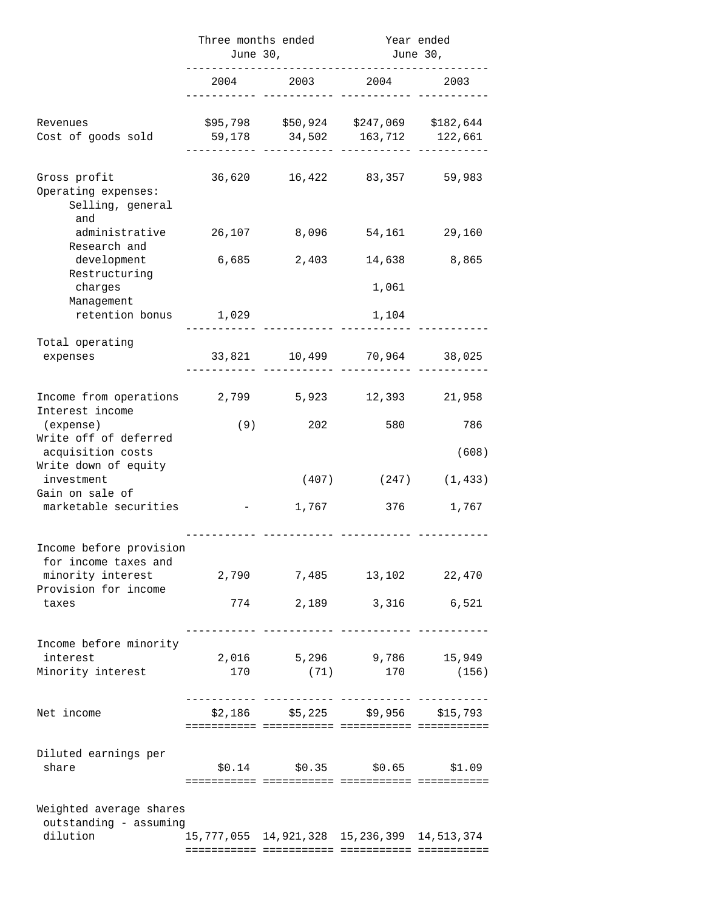|                                                                                                                                            | Three months ended | June 30,                                            | Year ended<br>June 30, |                    |
|--------------------------------------------------------------------------------------------------------------------------------------------|--------------------|-----------------------------------------------------|------------------------|--------------------|
|                                                                                                                                            | 2004               |                                                     | 2003 2004              | 2003               |
| Revenues<br>Cost of goods sold                                                                                                             | 59,178             | \$95,798 \$50,924 \$247,069 \$182,644               | 34,502 163,712 122,661 |                    |
| Gross profit<br>Operating expenses:<br>Selling, general<br>and                                                                             | 36,620             | 16,422                                              |                        | 83,357 59,983      |
| administrative<br>Research and                                                                                                             | 26,107             | 8,096                                               | 54,161                 | 29,160             |
| development                                                                                                                                | 6,685              | 2,403                                               | 14,638                 | 8,865              |
| Restructuring<br>charges<br>Management                                                                                                     |                    |                                                     | 1,061                  |                    |
| retention bonus                                                                                                                            | 1,029              |                                                     | 1,104                  |                    |
| Total operating<br>expenses                                                                                                                |                    | 33,821 10,499 70,964 38,025                         |                        |                    |
| Income from operations<br>Interest income<br>(expense)<br>Write off of deferred<br>acquisition costs<br>Write down of equity<br>investment | 2,799              | 5,923                                               | 12,393                 | 21,958             |
|                                                                                                                                            | (9)                | 202                                                 | 580                    | 786                |
|                                                                                                                                            |                    | (407)                                               | (247)                  | (608)<br>(1, 433)  |
| Gain on sale of<br>marketable securities                                                                                                   |                    | 1,767                                               | 376                    | 1,767              |
| Income before provision<br>for income taxes and                                                                                            |                    |                                                     |                        |                    |
| minority interest<br>Provision for income<br>taxes                                                                                         |                    | 2,790 7,485                                         |                        | 13,102 22,470      |
|                                                                                                                                            |                    | 774 2,189 3,316                                     |                        | 6,521              |
| Income before minority<br>interest<br>Minority interest                                                                                    |                    | 2,016 5,296 9,786 15,949                            |                        | 170 (71) 170 (156) |
|                                                                                                                                            |                    |                                                     |                        |                    |
| Net income                                                                                                                                 |                    | $$2,186$ $$5,225$ $$9,956$ $$15,793$                |                        |                    |
| Diluted earnings per<br>share                                                                                                              |                    | $$0.14$ $$0.35$ $$0.65$                             |                        | \$1.09             |
| Weighted average shares<br>outstanding - assuming<br>dilution                                                                              |                    | 15, 777, 055 14, 921, 328 15, 236, 399 14, 513, 374 |                        |                    |